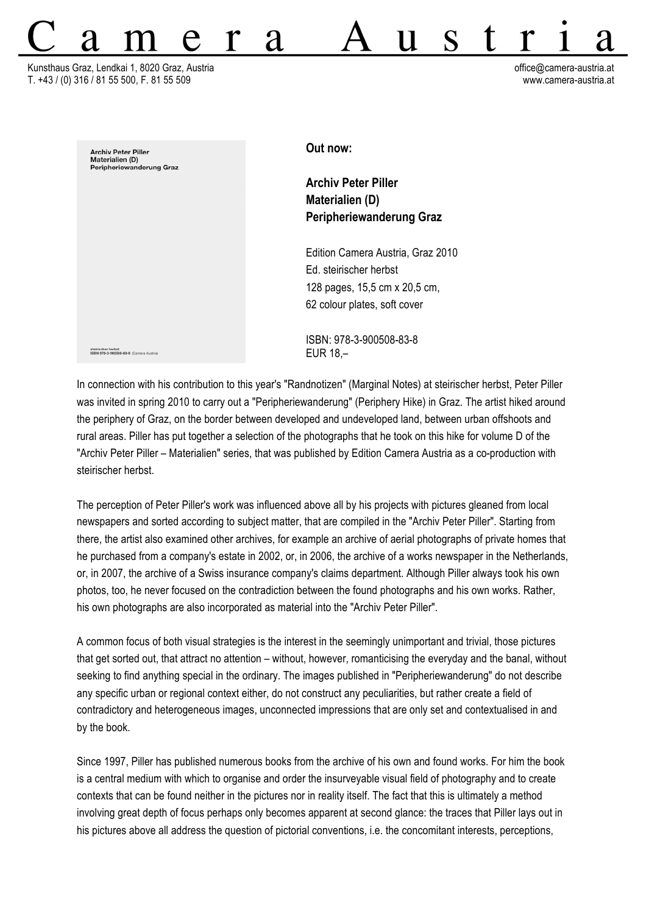Kunsthaus Graz, Lendkai 1, 8020 Graz, Austria office@camera-austria.at T. +43 / (0) 316 / 81 55 500, F. 81 55 509 www.camera-austria.at



**Out now:**

**Archiv Peter Piller Materialien (D) Peripheriewanderung Graz** 

Ħ

Edition Camera Austria, Graz 2010 Ed. steirischer herbst 128 pages, 15,5 cm x 20,5 cm, 62 colour plates, soft cover

ISBN: 978-3-900508-83-8 EUR 18,–

In connection with his contribution to this year's "Randnotizen" (Marginal Notes) at steirischer herbst, Peter Piller was invited in spring 2010 to carry out a "Peripheriewanderung" (Periphery Hike) in Graz. The artist hiked around the periphery of Graz, on the border between developed and undeveloped land, between urban offshoots and rural areas. Piller has put together a selection of the photographs that he took on this hike for volume D of the "Archiv Peter Piller – Materialien" series, that was published by Edition Camera Austria as a co-production with steirischer herbst.

The perception of Peter Piller's work was influenced above all by his projects with pictures gleaned from local newspapers and sorted according to subject matter, that are compiled in the "Archiv Peter Piller". Starting from there, the artist also examined other archives, for example an archive of aerial photographs of private homes that he purchased from a company's estate in 2002, or, in 2006, the archive of a works newspaper in the Netherlands, or, in 2007, the archive of a Swiss insurance company's claims department. Although Piller always took his own photos, too, he never focused on the contradiction between the found photographs and his own works. Rather, his own photographs are also incorporated as material into the "Archiv Peter Piller".

A common focus of both visual strategies is the interest in the seemingly unimportant and trivial, those pictures that get sorted out, that attract no attention – without, however, romanticising the everyday and the banal, without seeking to find anything special in the ordinary. The images published in "Peripheriewanderung" do not describe any specific urban or regional context either, do not construct any peculiarities, but rather create a field of contradictory and heterogeneous images, unconnected impressions that are only set and contextualised in and by the book.

Since 1997, Piller has published numerous books from the archive of his own and found works. For him the book is a central medium with which to organise and order the insurveyable visual field of photography and to create contexts that can be found neither in the pictures nor in reality itself. The fact that this is ultimately a method involving great depth of focus perhaps only becomes apparent at second glance: the traces that Piller lays out in his pictures above all address the question of pictorial conventions, i.e. the concomitant interests, perceptions,